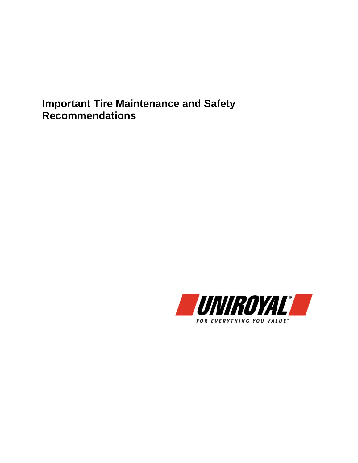**Important Tire Maintenance and Safety Recommendations**

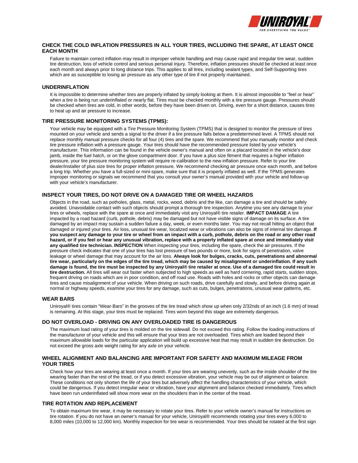

# **CHECK THE COLD INFLATION PRESSURES IN ALL YOUR TIRES, INCLUDING THE SPARE, AT LEAST ONCE EACH MONTH**

Failure to maintain correct inflation may result in improper vehicle handling and may cause rapid and irregular tire wear, sudden tire destruction, loss of vehicle control and serious personal injury. Therefore, inflation pressures should be checked at least once each month and always prior to long distance trips. This applies to all tires, including sealant types, and Self-Supporting tires which are as susceptible to losing air pressure as any other type of tire if not properly maintained.

# **UNDERINFLATION**

It is impossible to determine whether tires are properly inflated by simply looking at them. It is almost impossible to "feel or hear" when a tire is being run underinflated or nearly flat. Tires must be checked monthly with a tire pressure gauge. Pressures should be checked when tires are cold, in other words, before they have been driven on. Driving, even for a short distance, causes tires to heat up and air pressure to increase.

### **TIRE PRESSURE MONITORING SYSTEMS (TPMS):**

Your vehicle may be equipped with a Tire Pressure Monitoring System (TPMS) that is designed to monitor the pressure of tires mounted on your vehicle and sends a signal to the driver if a tire pressure falls below a predetermined level. A TPMS should not replace monthly manual pressure checks for all four (4) tires and the spare. We recommend that you manually monitor and check tire pressure inflation with a pressure gauge. Your tires should have the recommended pressure listed by your vehicle's manufacturer. This information can be found in the vehicle owner's manual and often on a placard located in the vehicle's door jamb, inside the fuel hatch, or on the glove compartment door. If you have a plus size fitment that requires a higher inflation pressure, your tire pressure monitoring system will require re-calibration to the new inflation pressure. Refer to your tire dealer/installer of plus size tires for proper inflation pressure. We recommend checking air pressure once each month, and before a long trip. Whether you have a full-sized or mini-spare, make sure that it is properly inflated as well. If the TPMS generates improper monitoring or signals we recommend that you consult your owner's manual provided with your vehicle and follow-up with your vehicle's manufacturer.

# **INSPECT YOUR TIRES, DO NOT DRIVE ON A DAMAGED TIRE OR WHEEL HAZARDS**

Objects in the road, such as potholes, glass, metal, rocks, wood, debris and the like, can damage a tire and should be safely avoided. Unavoidable contact with such objects should prompt a thorough tire inspection. Anytime you see any damage to your tires or wheels, replace with the spare at once and immediately visit any Uniroyal® tire retailer. **IMPACT DAMAGE** A tire impacted by a road hazard (curb, pothole, debris) may be damaged but not have visible signs of damage on its surface. A tire damaged by an impact may sustain a sudden failure a day, week, or even months later. You may not recall hitting an object that damaged or injured your tires. Air loss, unusual tire wear, localized wear or vibrations can also be signs of internal tire damage. **If you suspect any damage to your tire or wheel from an impact with a curb, pothole, debris on the road or any other road hazard, or if you feel or hear any unusual vibration, replace with a properly inflated spare at once and immediately visit any qualified tire technician. INSPECTION** When inspecting your tires, including the spare, check the air pressures. If the pressure check indicates that one of your tires has lost pressure of two pounds or more, look for signs of penetration, valve leakage or wheel damage that may account for the air loss. **Always look for bulges, cracks, cuts, penetrations and abnormal tire wear, particularly on the edges of the tire tread, which may be caused by misalignment or underinflation. If any such damage is found, the tire must be inspected by any Uniroyal® tire retailer at once. Use of a damaged tire could result in tire destruction.** All tires will wear out faster when subjected to high speeds as well as hard cornering, rapid starts, sudden stops, frequent driving on roads which are in poor condition, and off road use. Roads with holes and rocks or other objects can damage tires and cause misalignment of your vehicle. When driving on such roads, drive carefully and slowly, and before driving again at normal or highway speeds, examine your tires for any damage, such as cuts, bulges, penetrations, unusual wear patterns, etc.

### **WEAR BARS**

Uniroyal® tires contain "Wear-Bars" in the grooves of the tire tread which show up when only 2/32nds of an inch (1.6 mm) of tread is remaining. At this stage, your tires must be replaced. Tires worn beyond this stage are extremely dangerous.

### **DO NOT OVERLOAD - DRIVING ON ANY OVERLOADED TIRE IS DANGEROUS**

The maximum load rating of your tires is molded on the tire sidewall. Do not exceed this rating. Follow the loading instructions of the manufacturer of your vehicle and this will ensure that your tires are not overloaded. Tires which are loaded beyond their maximum allowable loads for the particular application will build up excessive heat that may result in sudden tire destruction. Do not exceed the gross axle weight rating for any axle on your vehicle.

### **WHEEL ALIGNMENT AND BALANCING ARE IMPORTANT FOR SAFETY AND MAXIMUM MILEAGE FROM YOUR TIRES**

Check how your tires are wearing at least once a month. If your tires are wearing unevenly, such as the inside shoulder of the tire wearing faster than the rest of the tread, or if you detect excessive vibration, your vehicle may be out of alignment or balance. These conditions not only shorten the life of your tires but adversely affect the handling characteristics of your vehicle, which could be dangerous. If you detect irregular wear or vibration, have your alignment and balance checked immediately. Tires which have been run underinflated will show more wear on the shoulders than in the center of the tread.

### **TIRE ROTATION AND REPLACEMENT**

To obtain maximum tire wear, it may be necessary to rotate your tires. Refer to your vehicle owner's manual for instructions on tire rotation. If you do not have an owner's manual for your vehicle, Uniroyal® recommends rotating your tires every 6,000 to 8,000 miles (10,000 to 12,000 km). Monthly inspection for tire wear is recommended. Your tires should be rotated at the first sign